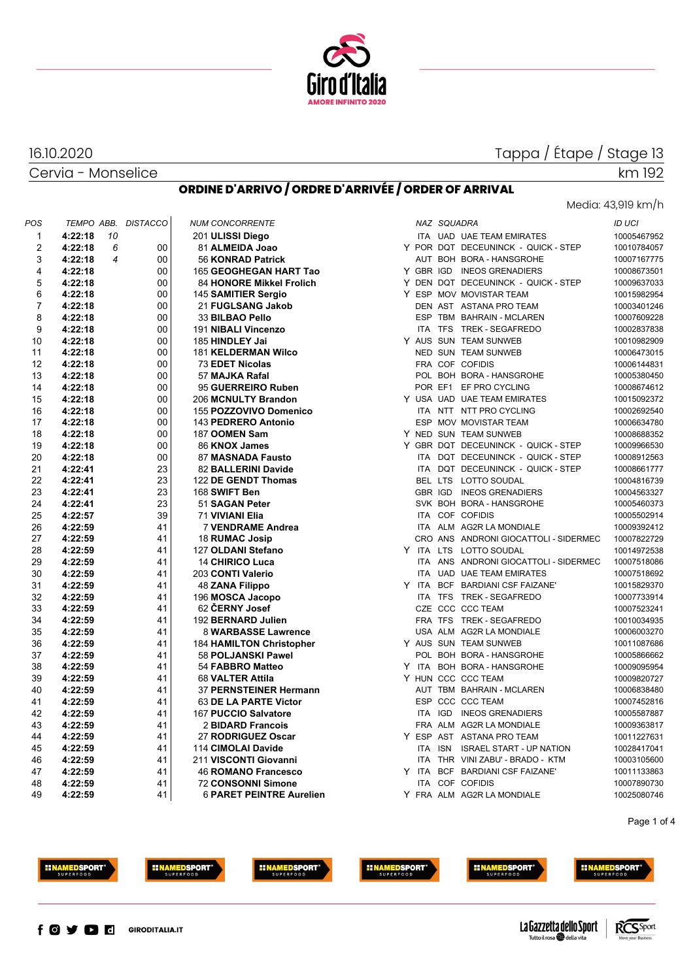

# Tappa / Étape / Stage 13 km 192

## Cervia - Monselice

16.10.2020

## **ORDINE D'ARRIVO / ORDRE D'ARRIVÉE / ORDER OF ARRIVAL**

## Media: 43,919 km/h

| POS            | TEMPO ABB. |                | <b>DISTACCO</b> | <b>NUM CONCORRENTE</b>          |  | NAZ SQUADRA |                                       | ID UCI      |
|----------------|------------|----------------|-----------------|---------------------------------|--|-------------|---------------------------------------|-------------|
| 1              | 4:22:18    | 10             |                 | 201 ULISSI Diego                |  |             | ITA UAD UAE TEAM EMIRATES             | 10005467952 |
| $\overline{2}$ | 4:22:18    | 6              | 00              | 81 ALMEIDA Joao                 |  |             | Y POR DQT DECEUNINCK - QUICK - STEP   | 10010784057 |
| 3              | 4:22:18    | $\overline{4}$ | 00              | 56 KONRAD Patrick               |  |             | AUT BOH BORA - HANSGROHE              | 10007167775 |
| 4              | 4:22:18    |                | 00              | 165 GEOGHEGAN HART Tao          |  |             | Y GBR IGD INEOS GRENADIERS            | 10008673501 |
| 5              | 4:22:18    |                | 00              | 84 HONORE Mikkel Frolich        |  |             | Y DEN DQT DECEUNINCK - QUICK - STEP   | 10009637033 |
| 6              | 4:22:18    |                | 00              | 145 SAMITIER Sergio             |  |             | Y ESP MOV MOVISTAR TEAM               | 10015982954 |
| $\overline{7}$ | 4:22:18    |                | 00              | 21 FUGLSANG Jakob               |  |             | DEN AST ASTANA PRO TEAM               | 10003401246 |
| 8              | 4:22:18    |                | 00              | 33 BILBAO Pello                 |  |             | ESP TBM BAHRAIN - MCLAREN             | 10007609228 |
| 9              | 4:22:18    |                | 00              | 191 NIBALI Vincenzo             |  |             | ITA TFS TREK - SEGAFREDO              | 10002837838 |
| 10             | 4:22:18    |                | 00              | 185 HINDLEY Jai                 |  |             | Y AUS SUN TEAM SUNWEB                 | 10010982909 |
| 11             | 4:22:18    |                | 00              | 181 KELDERMAN Wilco             |  |             | <b>NED SUN TEAM SUNWEB</b>            | 10006473015 |
| 12             | 4:22:18    |                | 00              | <b>73 EDET Nicolas</b>          |  |             | FRA COF COFIDIS                       | 10006144831 |
| 13             | 4:22:18    |                | 00              | 57 MAJKA Rafal                  |  |             | POL BOH BORA - HANSGROHE              | 10005380450 |
| 14             | 4:22:18    |                | 00              | 95 GUERREIRO Ruben              |  |             | POR EF1 EF PRO CYCLING                | 10008674612 |
| 15             | 4:22:18    |                | 00              | 206 MCNULTY Brandon             |  |             | Y USA UAD UAE TEAM EMIRATES           | 10015092372 |
| 16             | 4:22:18    |                | 00              | 155 POZZOVIVO Domenico          |  |             | ITA NTT NTT PRO CYCLING               | 10002692540 |
| 17             | 4:22:18    |                | 00              | 143 PEDRERO Antonio             |  |             | ESP MOV MOVISTAR TEAM                 | 10006634780 |
| 18             | 4:22:18    |                | 00              | 187 OOMEN Sam                   |  |             | Y NED SUN TEAM SUNWEB                 | 10008688352 |
| 19             | 4:22:18    |                | 00              | 86 KNOX James                   |  |             | Y GBR DQT DECEUNINCK - QUICK - STEP   | 10009966530 |
| 20             | 4:22:18    |                | 00              | 87 MASNADA Fausto               |  |             | ITA DQT DECEUNINCK - QUICK - STEP     | 10008912563 |
| 21             | 4:22:41    |                | 23              | 82 BALLERINI Davide             |  |             | ITA DQT DECEUNINCK - QUICK - STEP     | 10008661777 |
| 22             | 4:22:41    |                | 23              | 122 DE GENDT Thomas             |  |             | BEL LTS LOTTO SOUDAL                  | 10004816739 |
| 23             | 4:22:41    |                | 23              | 168 SWIFT Ben                   |  |             | GBR IGD INEOS GRENADIERS              | 10004563327 |
| 24             | 4:22:41    |                | 23              | 51 SAGAN Peter                  |  |             | SVK BOH BORA - HANSGROHE              | 10005460373 |
| 25             | 4:22:57    |                | 39              | 71 VIVIANI Elia                 |  |             | ITA COF COFIDIS                       | 10005502914 |
| 26             | 4:22:59    |                | 41              | <b>7 VENDRAME Andrea</b>        |  |             | ITA ALM AG2R LA MONDIALE              | 10009392412 |
| 27             | 4:22:59    |                | 41              | <b>18 RUMAC Josip</b>           |  |             | CRO ANS ANDRONI GIOCATTOLI - SIDERMEC | 10007822729 |
| 28             | 4:22:59    |                | 41              | 127 OLDANI Stefano              |  |             | Y ITA LTS LOTTO SOUDAL                | 10014972538 |
| 29             | 4:22:59    |                | 41              | <b>14 CHIRICO Luca</b>          |  |             | ITA ANS ANDRONI GIOCATTOLI - SIDERMEC | 10007518086 |
| 30             | 4:22:59    |                | 41              | 203 CONTI Valerio               |  |             | ITA UAD UAE TEAM EMIRATES             | 10007518692 |
| 31             | 4:22:59    |                | 41              | 48 ZANA Filippo                 |  |             | Y ITA BCF BARDIANI CSF FAIZANE'       | 10015829370 |
| 32             | 4:22:59    |                | 41              | 196 MOSCA Jacopo                |  |             | ITA TFS TREK - SEGAFREDO              | 10007733914 |
| 33             | 4:22:59    |                | 41              | 62 ČERNY Josef                  |  |             | CZE CCC CCC TEAM                      | 10007523241 |
| 34             | 4:22:59    |                | 41              | 192 BERNARD Julien              |  |             | FRA TFS TREK - SEGAFREDO              | 10010034935 |
| 35             | 4:22:59    |                | 41              | 8 WARBASSE Lawrence             |  |             | USA ALM AG2R LA MONDIALE              | 10006003270 |
| 36             | 4:22:59    |                | 41              | <b>184 HAMILTON Christopher</b> |  |             | Y AUS SUN TEAM SUNWEB                 | 10011087686 |
| 37             | 4:22:59    |                | 41              | 58 POLJANSKI Pawel              |  |             | POL BOH BORA - HANSGROHE              | 10005866662 |
| 38             | 4:22:59    |                | 41              | 54 FABBRO Matteo                |  |             | Y ITA BOH BORA - HANSGROHE            | 10009095954 |
| 39             | 4:22:59    |                | 41              | 68 VALTER Attila                |  |             | Y HUN CCC CCC TEAM                    | 10009820727 |
| 40             | 4:22:59    |                | 41              | 37 PERNSTEINER Hermann          |  |             | AUT TBM BAHRAIN - MCLAREN             | 10006838480 |
| 41             | 4:22:59    |                | 41              | 63 DE LA PARTE Victor           |  |             | ESP CCC CCC TEAM                      | 10007452816 |
| 42             | 4:22:59    |                | 41              | 167 PUCCIO Salvatore            |  |             | ITA IGD INEOS GRENADIERS              | 10005587887 |
| 43             | 4:22:59    |                | 41              | 2 BIDARD Francois               |  |             | FRA ALM AG2R LA MONDIALE              | 10009363817 |
| 44             | 4:22:59    |                | 41              | 27 RODRIGUEZ Oscar              |  |             | Y ESP AST ASTANA PRO TEAM             | 10011227631 |
| 45             | 4:22:59    |                | 41              | 114 CIMOLAI Davide              |  | ITA ISN     | <b>ISRAEL START - UP NATION</b>       | 10028417041 |
| 46             | 4:22:59    |                | 41              | 211 VISCONTI Giovanni           |  |             | ITA THR VINI ZABU' - BRADO - KTM      | 10003105600 |
| 47             | 4:22:59    |                | 41              | <b>46 ROMANO Francesco</b>      |  |             | Y ITA BCF BARDIANI CSF FAIZANE'       | 10011133863 |
| 48             | 4:22:59    |                | 41              | <b>72 CONSONNI Simone</b>       |  |             | ITA COF COFIDIS                       | 10007890730 |
| 49             | 4:22:59    |                | 41              | <b>6 PARET PEINTRE Aurelien</b> |  |             | Y FRA ALM AG2R LA MONDIALE            | 10025080746 |
|                |            |                |                 |                                 |  |             |                                       |             |

Page 1 of 4







**EINAMEDSPORT** 





**HINAMEDSPORT** 



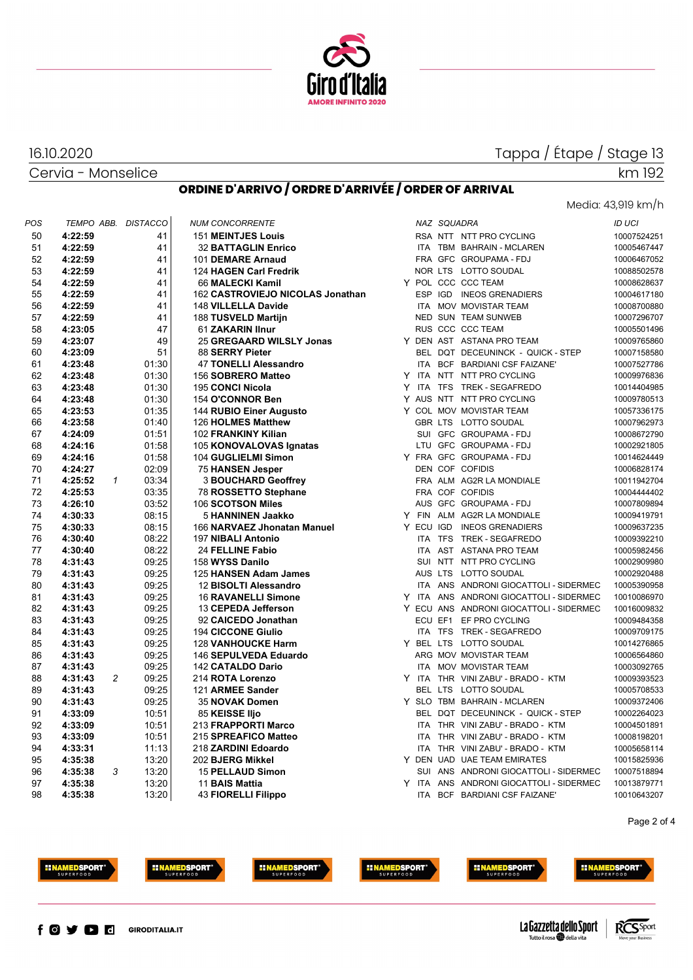

# Tappa / Étape / Stage 13 km 192

Media: 43,919 km/h

Cervia - Monselice

16.10.2020

|  |  | ORDINE D'ARRIVO / ORDRE D'ARRIVÉE / ORDER OF ARRIVAL |
|--|--|------------------------------------------------------|
|--|--|------------------------------------------------------|

| POS |         |                | TEMPO ABB. DISTACCO | <b>NUM CONCORRENTE</b>           |  | NAZ SQUADRA |                                         | ID UCI      |
|-----|---------|----------------|---------------------|----------------------------------|--|-------------|-----------------------------------------|-------------|
| 50  | 4:22:59 |                | 41                  | <b>151 MEINTJES Louis</b>        |  |             | RSA NTT NTT PRO CYCLING                 | 10007524251 |
| 51  | 4:22:59 |                | 41                  | <b>32 BATTAGLIN Enrico</b>       |  |             | ITA TBM BAHRAIN - MCLAREN               | 10005467447 |
| 52  | 4:22:59 |                | 41                  | 101 DEMARE Arnaud                |  |             | FRA GFC GROUPAMA-FDJ                    | 10006467052 |
| 53  | 4:22:59 |                | 41                  | 124 HAGEN Carl Fredrik           |  |             | NOR LTS LOTTO SOUDAL                    | 10088502578 |
| 54  | 4:22:59 |                | 41                  | 66 MALECKI Kamil                 |  |             | Y POL CCC CCC TEAM                      | 10008628637 |
| 55  | 4:22:59 |                | 41                  | 162 CASTROVIEJO NICOLAS Jonathan |  |             | ESP IGD INEOS GRENADIERS                | 10004617180 |
| 56  | 4:22:59 |                | 41                  | 148 VILLELLA Davide              |  |             | ITA MOV MOVISTAR TEAM                   | 10008700880 |
| 57  | 4:22:59 |                | 41                  | 188 TUSVELD Martijn              |  |             | <b>NED SUN TEAM SUNWEB</b>              | 10007296707 |
| 58  | 4:23:05 |                | 47                  | 61 ZAKARIN IInur                 |  |             | RUS CCC CCC TEAM                        | 10005501496 |
| 59  | 4:23:07 |                | 49                  | 25 GREGAARD WILSLY Jonas         |  |             | Y DEN AST ASTANA PRO TEAM               | 10009765860 |
| 60  | 4:23:09 |                | 51                  | 88 SERRY Pieter                  |  |             | BEL DQT DECEUNINCK - QUICK - STEP       | 10007158580 |
| 61  | 4:23:48 |                | 01:30               | 47 TONELLI Alessandro            |  |             | ITA BCF BARDIANI CSF FAIZANE'           | 10007527786 |
| 62  | 4:23:48 |                | 01:30               | 156 SOBRERO Matteo               |  |             | Y ITA NTT NTT PRO CYCLING               | 10009976836 |
| 63  | 4:23:48 |                | 01:30               | 195 CONCI Nicola                 |  |             | Y ITA TFS TREK-SEGAFREDO                | 10014404985 |
| 64  | 4:23:48 |                | 01:30               | 154 O'CONNOR Ben                 |  |             | Y AUS NTT NTT PRO CYCLING               | 10009780513 |
| 65  | 4:23:53 |                | 01:35               | 144 RUBIO Einer Augusto          |  |             | Y COL MOV MOVISTAR TEAM                 | 10057336175 |
| 66  | 4:23:58 |                | 01:40               | 126 HOLMES Matthew               |  |             | GBR LTS LOTTO SOUDAL                    | 10007962973 |
| 67  | 4:24:09 |                | 01:51               | 102 FRANKINY Kilian              |  |             | SUI GFC GROUPAMA - FDJ                  | 10008672790 |
| 68  | 4:24:16 |                | 01:58               | 105 KONOVALOVAS Ignatas          |  |             | LTU GFC GROUPAMA - FDJ                  | 10002921805 |
| 69  | 4:24:16 |                | 01:58               | 104 GUGLIELMI Simon              |  |             | Y FRA GFC GROUPAMA-FDJ                  | 10014624449 |
| 70  | 4:24:27 |                | 02:09               | 75 HANSEN Jesper                 |  |             | DEN COF COFIDIS                         | 10006828174 |
| 71  | 4:25:52 | $\mathcal I$   | 03:34               | <b>3 BOUCHARD Geoffrey</b>       |  |             | FRA ALM AG2R LA MONDIALE                | 10011942704 |
| 72  | 4:25:53 |                | 03:35               | 78 ROSSETTO Stephane             |  |             | FRA COF COFIDIS                         | 10004444402 |
| 73  | 4:26:10 |                | 03:52               | 106 SCOTSON Miles                |  |             | AUS GFC GROUPAMA - FDJ                  | 10007809894 |
| 74  | 4:30:33 |                | 08:15               | 5 HANNINEN Jaakko                |  |             | Y FIN ALM AG2R LA MONDIALE              | 10009419791 |
| 75  | 4:30:33 |                | 08:15               | 166 NARVAEZ Jhonatan Manuel      |  |             | Y ECU IGD INEOS GRENADIERS              | 10009637235 |
| 76  | 4:30:40 |                | 08:22               | 197 NIBALI Antonio               |  |             | ITA TFS TREK - SEGAFREDO                | 10009392210 |
| 77  | 4:30:40 |                | 08:22               | 24 FELLINE Fabio                 |  |             | ITA AST ASTANA PRO TEAM                 | 10005982456 |
| 78  | 4:31:43 |                | 09:25               | 158 WYSS Danilo                  |  |             | SUI NTT NTT PRO CYCLING                 | 10002909980 |
| 79  | 4:31:43 |                | 09:25               | 125 HANSEN Adam James            |  |             | AUS LTS LOTTO SOUDAL                    | 10002920488 |
| 80  | 4:31:43 |                | 09:25               | 12 BISOLTI Alessandro            |  |             | ITA ANS ANDRONI GIOCATTOLI - SIDERMEC   | 10005390958 |
| 81  | 4:31:43 |                | 09:25               | <b>16 RAVANELLI Simone</b>       |  |             | Y ITA ANS ANDRONI GIOCATTOLI - SIDERMEC | 10010086970 |
| 82  | 4:31:43 |                | 09:25               | 13 CEPEDA Jefferson              |  |             | Y ECU ANS ANDRONI GIOCATTOLI - SIDERMEC | 10016009832 |
| 83  | 4:31:43 |                | 09:25               | 92 CAICEDO Jonathan              |  |             | ECU EF1 EF PRO CYCLING                  | 10009484358 |
| 84  | 4:31:43 |                | 09:25               | <b>194 CICCONE Giulio</b>        |  |             | ITA TFS TREK - SEGAFREDO                | 10009709175 |
| 85  | 4:31:43 |                | 09:25               | 128 VANHOUCKE Harm               |  |             | Y BEL LTS LOTTO SOUDAL                  | 10014276865 |
| 86  | 4:31:43 |                | 09:25               | 146 SEPULVEDA Eduardo            |  |             | ARG MOV MOVISTAR TEAM                   | 10006564860 |
| 87  | 4:31:43 |                | 09:25               | 142 CATALDO Dario                |  |             | ITA MOV MOVISTAR TEAM                   | 10003092765 |
| 88  | 4:31:43 | $\overline{c}$ | 09:25               | 214 ROTA Lorenzo                 |  |             | Y ITA THR VINI ZABU' - BRADO - KTM      | 10009393523 |
| 89  | 4:31:43 |                | 09:25               | 121 ARMEE Sander                 |  |             | BEL LTS LOTTO SOUDAL                    | 10005708533 |
| 90  | 4:31:43 |                | 09:25               | 35 NOVAK Domen                   |  |             | Y SLO TBM BAHRAIN - MCLAREN             | 10009372406 |
| 91  | 4:33:09 |                | 10:51               | 85 KEISSE IIjo                   |  |             | BEL DQT DECEUNINCK - QUICK - STEP       | 10002264023 |
| 92  | 4:33:09 |                | 10:51               | 213 FRAPPORTI Marco              |  |             | ITA THR VINI ZABU' - BRADO - KTM        | 10004501891 |
| 93  | 4:33:09 |                | 10:51               | 215 SPREAFICO Matteo             |  |             | ITA THR VINI ZABU' - BRADO - KTM        | 10008198201 |
| 94  |         |                |                     |                                  |  |             | ITA THR VINI ZABU' - BRADO - KTM        | 10005658114 |
|     | 4:33:31 |                | 11:13               | 218 ZARDINI Edoardo              |  |             |                                         |             |
| 95  | 4:35:38 |                | 13:20               | 202 BJERG Mikkel                 |  |             | Y DEN UAD UAE TEAM EMIRATES             | 10015825936 |
| 96  | 4:35:38 | 3              | 13:20               | 15 PELLAUD Simon                 |  |             | SUI ANS ANDRONI GIOCATTOLI - SIDERMEC   | 10007518894 |
| 97  | 4:35:38 |                | 13:20               | 11 BAIS Mattia                   |  |             | Y ITA ANS ANDRONI GIOCATTOLI - SIDERMEC | 10013879771 |
| 98  | 4:35:38 |                | 13:20               | 43 FIORELLI Filippo              |  |             | ITA BCF BARDIANI CSF FAIZANE'           | 10010643207 |

Page 2 of 4







**INAMEDSPORT** 





**INAMEDSPORT** 



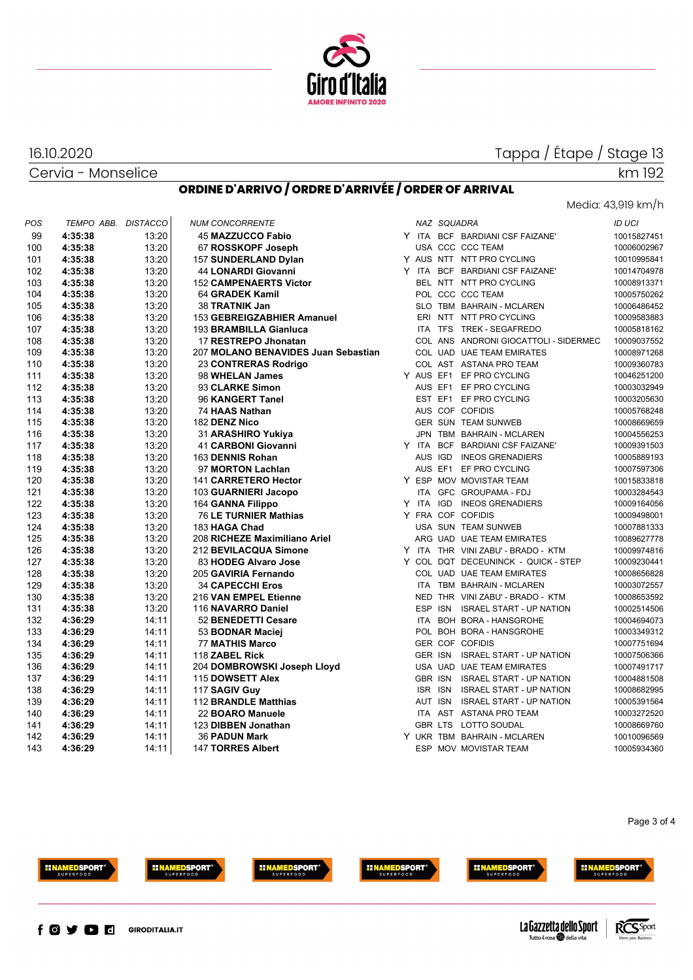

# Tappa / Étape / Stage 13

Cervia - Monselice

16.10.2020

# **ORDINE D'ARRIVO / ORDRE D'ARRIVÉE / ORDER OF ARRIVAL**

## Media: 43,919 km/h

km 192

| POS | TEMPO ABB. DISTACCO |       | <b>NUM CONCORRENTE</b>              |  | NAZ SQUADRA |                                       | <b>ID UCI</b>              |
|-----|---------------------|-------|-------------------------------------|--|-------------|---------------------------------------|----------------------------|
| 99  | 4:35:38             | 13:20 | 45 MAZZUCCO Fabio                   |  |             | Y ITA BCF BARDIANI CSF FAIZANE'       | 10015827451                |
| 100 | 4:35:38             | 13:20 | 67 ROSSKOPF Joseph                  |  |             | USA CCC CCC TEAM                      | 10006002967                |
| 101 | 4:35:38             | 13:20 | 157 SUNDERLAND Dylan                |  |             | Y AUS NTT NTT PRO CYCLING             | 10010995841                |
| 102 | 4:35:38             | 13:20 | 44 LONARDI Giovanni                 |  |             | Y ITA BCF BARDIANI CSF FAIZANE'       | 10014704978                |
| 103 | 4:35:38             | 13:20 | <b>152 CAMPENAERTS Victor</b>       |  |             | BEL NTT NTT PRO CYCLING               | 10008913371                |
| 104 | 4:35:38             | 13:20 | 64 GRADEK Kamil                     |  |             | POL CCC CCC TEAM                      | 10005750262                |
| 105 | 4:35:38             | 13:20 | 38 TRATNIK Jan                      |  |             | SLO TBM BAHRAIN - MCLAREN             | 10006486452                |
| 106 | 4:35:38             | 13:20 | 153 GEBREIGZABHIER Amanuel          |  |             | ERI NTT NTT PRO CYCLING               | 10009583883                |
| 107 | 4:35:38             | 13:20 | 193 BRAMBILLA Gianluca              |  |             | ITA TFS TREK - SEGAFREDO              | 10005818162                |
| 108 | 4:35:38             | 13:20 | 17 RESTREPO Jhonatan                |  |             | COL ANS ANDRONI GIOCATTOLI - SIDERMEC | 10009037552                |
| 109 | 4:35:38             | 13:20 | 207 MOLANO BENAVIDES Juan Sebastian |  |             | COL UAD UAE TEAM EMIRATES             | 10008971268                |
| 110 | 4:35:38             | 13:20 | 23 CONTRERAS Rodrigo                |  |             | COL AST ASTANA PRO TEAM               | 10009360783                |
| 111 | 4:35:38             | 13:20 | 98 WHELAN James                     |  |             | Y AUS EF1 EF PRO CYCLING              | 10046251200                |
| 112 | 4:35:38             | 13:20 | 93 CLARKE Simon                     |  |             | AUS EF1 EF PRO CYCLING                | 10003032949                |
| 113 | 4:35:38             | 13:20 | 96 KANGERT Tanel                    |  |             | EST EF1 EF PRO CYCLING                | 10003205630                |
| 114 | 4:35:38             | 13:20 | 74 HAAS Nathan                      |  |             | AUS COF COFIDIS                       | 10005768248                |
| 115 | 4:35:38             | 13:20 | 182 DENZ Nico                       |  |             | <b>GER SUN TEAM SUNWEB</b>            | 10008669659                |
| 116 | 4:35:38             | 13:20 | 31 ARASHIRO Yukiya                  |  |             | JPN TBM BAHRAIN - MCLAREN             | 10004556253                |
| 117 | 4:35:38             | 13:20 | <b>41 CARBONI Giovanni</b>          |  |             | Y ITA BCF BARDIANI CSF FAIZANE'       | 10009391503                |
| 118 | 4:35:38             | 13:20 | 163 DENNIS Rohan                    |  |             | AUS IGD INEOS GRENADIERS              | 10005889193                |
| 119 | 4:35:38             | 13:20 | 97 MORTON Lachlan                   |  |             | AUS EF1 EF PRO CYCLING                | 10007597306                |
| 120 | 4:35:38             | 13:20 | 141 CARRETERO Hector                |  |             | Y ESP MOV MOVISTAR TEAM               | 10015833818                |
| 121 | 4:35:38             | 13:20 | 103 GUARNIERI Jacopo                |  |             | ITA GFC GROUPAMA - FDJ                | 10003284543                |
| 122 | 4:35:38             | 13:20 | 164 GANNA Filippo                   |  |             | Y ITA IGD INEOS GRENADIERS            | 10009164056                |
| 123 | 4:35:38             | 13:20 | <b>76 LE TURNIER Mathias</b>        |  |             | Y FRA COF COFIDIS                     | 10009498001                |
| 124 | 4:35:38             | 13:20 | 183 HAGA Chad                       |  |             | USA SUN TEAM SUNWEB                   | 10007881333                |
| 125 | 4:35:38             | 13:20 | 208 RICHEZE Maximiliano Ariel       |  |             | ARG UAD UAE TEAM EMIRATES             | 10089627778                |
| 126 | 4:35:38             | 13:20 | 212 BEVILACQUA Simone               |  |             | Y ITA THR VINI ZABU' - BRADO - KTM    | 10009974816                |
| 127 | 4:35:38             | 13:20 | 83 HODEG Alvaro Jose                |  |             | Y COL DQT DECEUNINCK - QUICK - STEP   | 10009230441                |
| 128 | 4:35:38             | 13:20 | 205 GAVIRIA Fernando                |  |             | COL UAD UAE TEAM EMIRATES             | 10008656828                |
| 129 | 4:35:38             | 13:20 | <b>34 CAPECCHI Eros</b>             |  |             | ITA TBM BAHRAIN - MCLAREN             | 10003072557                |
| 130 | 4:35:38             | 13:20 | 216 VAN EMPEL Etienne               |  |             | NED THR VINI ZABU' - BRADO - KTM      | 10008653592                |
| 131 | 4:35:38             | 13:20 | 116 NAVARRO Daniel                  |  |             | ESP ISN ISRAEL START - UP NATION      | 10002514506                |
| 132 | 4:36:29             | 14:11 | 52 BENEDETTI Cesare                 |  |             | ITA BOH BORA - HANSGROHE              | 10004694073                |
| 133 | 4:36:29             | 14:11 | 53 BODNAR Maciej                    |  |             | POL BOH BORA - HANSGROHE              | 10003349312                |
| 134 | 4:36:29             | 14:11 | <b>77 MATHIS Marco</b>              |  |             | GER COF COFIDIS                       | 10007751694                |
| 135 | 4:36:29             | 14:11 | 118 ZABEL Rick                      |  |             | GER ISN ISRAEL START - UP NATION      | 10007506366                |
| 136 | 4:36:29             | 14:11 | 204 DOMBROWSKI Joseph Lloyd         |  |             | USA UAD UAE TEAM EMIRATES             | 10007491717                |
|     |                     | 14:11 |                                     |  |             | GBR ISN ISRAEL START - UP NATION      |                            |
| 137 | 4:36:29<br>4:36:29  | 14:11 | 115 DOWSETT Alex                    |  |             |                                       | 10004881508<br>10008682995 |
| 138 |                     | 14:11 | 117 SAGIV Guy                       |  |             | ISR ISN ISRAEL START - UP NATION      |                            |
| 139 | 4:36:29             |       | 112 BRANDLE Matthias                |  |             | AUT ISN ISRAEL START - UP NATION      | 10005391564                |
| 140 | 4:36:29             | 14:11 | 22 BOARO Manuele                    |  |             | ITA AST ASTANA PRO TEAM               | 10003272520                |
| 141 | 4:36:29             | 14:11 | 123 DIBBEN Jonathan                 |  |             | GBR LTS LOTTO SOUDAL                  | 10008669760                |
| 142 | 4:36:29             | 14:11 | <b>36 PADUN Mark</b>                |  |             | Y UKR TBM BAHRAIN - MCLAREN           | 10010096569                |
| 143 | 4:36:29             | 14:11 | <b>147 TORRES Albert</b>            |  |             | ESP MOV MOVISTAR TEAM                 | 10005934360                |

#### Page 3 of 4







**EINAMEDSPORT** 





**INAMEDSPORT**